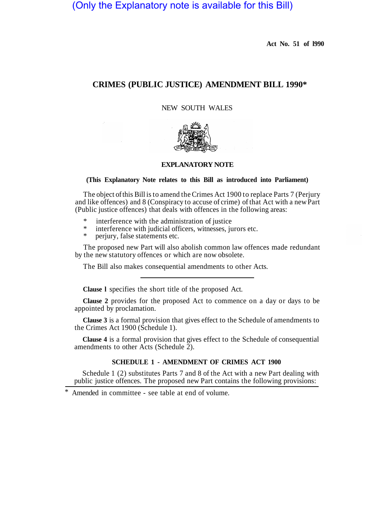# (Only the Explanatory note is available for this Bill)

**Act No. 51 of l990** 

# **CRIMES (PUBLIC JUSTICE) AMENDMENT BILL 1990\***

NEW SOUTH WALES



#### **EXPLANATORY NOTE**

#### **(This Explanatory Note relates to this Bill as introduced into Parliament)**

The object of this Bill is to amend the Crimes Act 1900 to replace Parts 7 (Perjury and like offences) and 8 (Conspiracy to accuse of crime) of that Act with a new Part (Public justice offences) that deals with offences in the following areas:

- \* interference with the administration of justice<br>\* interference with judicial officers, withercase in
- \* interference with judicial officers, witnesses, jurors etc.<br>\* periury false statements etc.
- perjury, false statements etc.

The proposed new Part will also abolish common law offences made redundant by the new statutory offences or which are now obsolete.

The Bill also makes consequential amendments to other Acts.

**Clause l** specifies the short title of the proposed Act.

**Clause 2** provides for the proposed Act to commence on a day or days to be appointed by proclamation.

**Clause 3** is a formal provision that gives effect to the Schedule of amendments to the Crimes Act 1900 (Schedule 1).

**Clause 4** is a formal provision that gives effect to the Schedule of consequential amendments to other Acts (Schedule 2).

# **SCHEDULE 1 - AMENDMENT OF CRIMES ACT 1900**

Schedule 1 (2) substitutes Parts 7 and 8 of the Act with a new Part dealing with public justice offences. The proposed new Part contains the following provisions:

Amended in committee - see table at end of volume.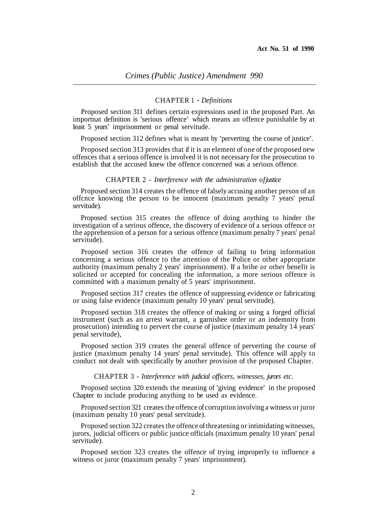### CHAPTER 1 - *Definitions*

Proposed section 311 defines certain expressions used in the proposed Part. An importnat definition is "serious offence" which means an offence punishable by at Ieast 5 years' imprisonment or penal servitude.

Proposed section 312 defines what is meant by "perverting the course of justice".

Proposed section 313 provides that if it is an element of one of the proposed new offences that a serious offence is involved it is not necessary for the prosecution to establish that the accused knew the offence concerned was a serious offence.

#### CHAPTER 2 - *Interference with the administration of justice*

Proposed section 314 creates the offence of falsely accusing another person of an offcnce knowing the person to be innocent (maximum penalty 7 years' penal servitude).

Proposed section 315 creates the offence of doing anything to hinder the investigation of a serious offence, the discovery of evidence of a serious offence or the apprehension of a person for a serious offence (maximum penalty 7 years' penal servitude).

Proposed section 316 creates the offence of failing to bring information concerning a serious offence to the attention of the Police or other appropriate authority (maximum penalty 2 years' imprisonment). If a bribe or other benefit is solicited or accepted for concealing the information, a more serious offence is committed with a maximum penalty of 5 years' imprisonment.

Proposed section 317 creates the offence of suppressing evidence or fabricating or using false evidence (maximum penalty 10 years' penal servitude).

Proposed section 318 creates the offence of making or using a forged official instrument (such as an arrest warrant, a garnishee order or an indemnity from prosecution) intending to pervert the course of justice (maximum penalty 14 years' penal servitude),

Proposed section 319 creates the general offence of perverting the course of justice (maximum penalty 14 years' penal servitude). This offence will apply to conduct not dealt with specifically by another provision of the proposed Chapter.

#### CHAPTER 3 - *Interference with judicial officers, witnesses, jurors etc.*

Proposed section 320 extends the meaning of "giving evidence" in the proposed Chapter to include producing anything to be used as evidence.

Proposed section 321 creates the offence of corruption involving a witness or juror (maximum penalty 10 years' penal servitude).

Proposed section 322 creates the offence of threatening or intimidating witnesses, jurors, judicial officers or public justice officials (maximum penalty 10 years' penal servitude).

Proposed section 323 creates the offence of trying improperly to influence a witness or juror (maximum penalty 7 years' imprisonment).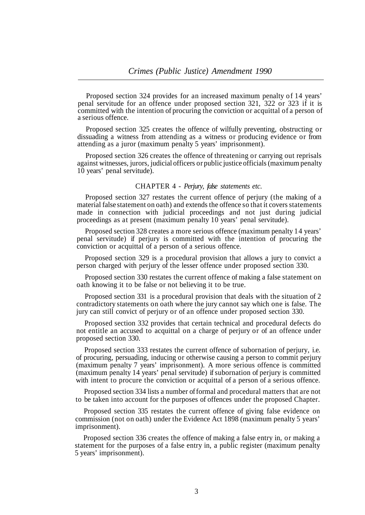Proposed section 324 provides for an increased maximum penalty of 14 years' penal servitude for an offence under proposed section 321, 322 or 323 if it is committed with the intention of procuring the conviction or acquittal of a person of a serious offence.

Proposed section 325 creates the offence of wilfully preventing, obstructing or dissuading a witness from attending as a witness or producing evidence or from attending as a juror (maximum penalty 5 years' imprisonment).

Proposed section 326 creates the offence of threatening or carrying out reprisals against witnesses, jurors, judicial officers or public justice officials (maximum penalty 10 years' penal servitude).

# CHAPTER 4 - *Perjury, false statements etc.*

Proposed section 327 restates the current offence of perjury (the making of a material false statement on oath) and extends the offence so that it covers statements made in connection with judicial proceedings and not just during judicial proceedings as at present (maximum penalty 10 years' penal servitude).

Proposed section 328 creates a more serious offence (maximum penalty 14 years' penal servitude) if perjury is committed with the intention of procuring the conviction or acquittal of a person of a serious offence.

Proposed section 329 is a procedural provision that allows a jury to convict a person charged with perjury of the lesser offence under proposed section 330.

Proposed section 330 restates the current offence of making a false statement on oath knowing it to be false or not believing it to be true.

Proposed section 331 is a procedural provision that deals with the situation of 2 contradictory statements on oath where the jury cannot say which one is false. The jury can still convict of perjury or of an offence under proposed section 330.

Proposed section 332 provides that certain technical and procedural defects do not entitle an accused to acquittal on a charge of perjury or of an offence under proposed section 330.

Proposed section 333 restates the current offence of subornation of perjury, i.e. of procuring, persuading, inducing or otherwise causing a person to commit perjury (maximum penalty 7 years' imprisonment). A more serious offence is committed (maximum penalty 14 years' penal servitude) if subornation of perjury is committed with intent to procure the conviction or acquittal of a person of a serious offence.

Proposed section 334 lists a number of formal and procedural matters that are not to be taken into account for the purposes of offences under the proposed Chapter.

Proposed section 335 restates the current offence of giving false evidence on commission (not on oath) under the Evidence Act 1898 (maximum penalty 5 years' imprisonment).

Proposed section 336 creates the offence of making a false entry in, or making a statement for the purposes of a false entry in, a public register (maximum penalty 5 years' imprisonment).